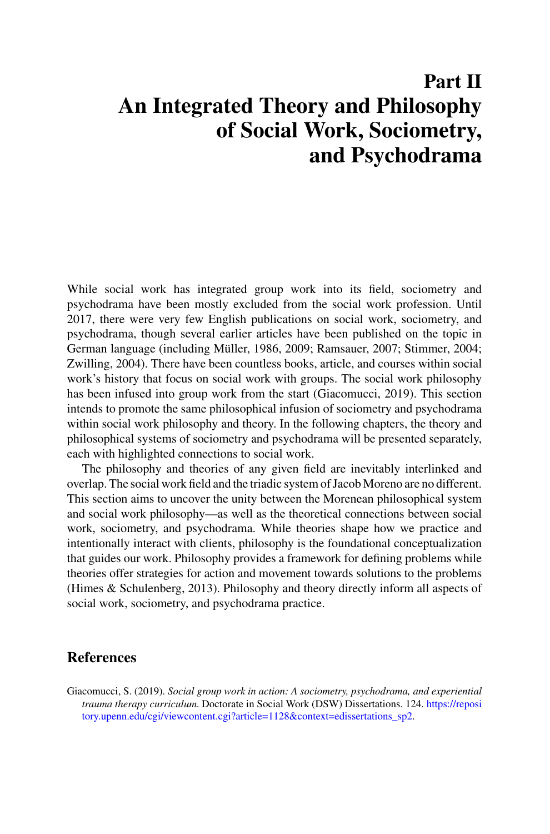## **Part II An Integrated Theory and Philosophy of Social Work, Sociometry, and Psychodrama**

While social work has integrated group work into its field, sociometry and psychodrama have been mostly excluded from the social work profession. Until 2017, there were very few English publications on social work, sociometry, and psychodrama, though several earlier articles have been published on the topic in German language (including Müller, 1986, 2009; Ramsauer, 2007; Stimmer, 2004; Zwilling, 2004). There have been countless books, article, and courses within social work's history that focus on social work with groups. The social work philosophy has been infused into group work from the start (Giacomucci, 2019). This section intends to promote the same philosophical infusion of sociometry and psychodrama within social work philosophy and theory. In the following chapters, the theory and philosophical systems of sociometry and psychodrama will be presented separately, each with highlighted connections to social work.

The philosophy and theories of any given field are inevitably interlinked and overlap. The social work field and the triadic system of Jacob Moreno are no different. This section aims to uncover the unity between the Morenean philosophical system and social work philosophy—as well as the theoretical connections between social work, sociometry, and psychodrama. While theories shape how we practice and intentionally interact with clients, philosophy is the foundational conceptualization that guides our work. Philosophy provides a framework for defining problems while theories offer strategies for action and movement towards solutions to the problems (Himes & Schulenberg, 2013). Philosophy and theory directly inform all aspects of social work, sociometry, and psychodrama practice.

## **References**

Giacomucci, S. (2019). *Social group work in action: A sociometry, psychodrama, and experiential trauma therapy curriculum*. Doctorate in Social Work (DSW) Dissertations. 124. https://reposi [tory.upenn.edu/cgi/viewcontent.cgi?article=1128&context=edissertations\\_sp2.](https://repository.upenn.edu/cgi/viewcontent.cgi?article=1128&context=edissertations_sp2)